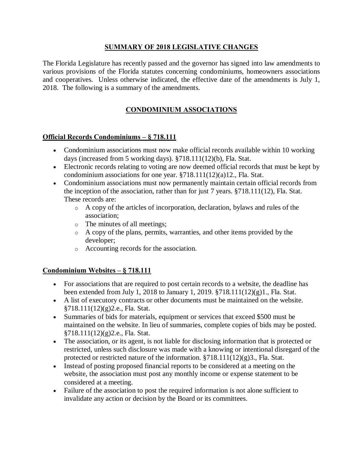### **SUMMARY OF 2018 LEGISLATIVE CHANGES**

The Florida Legislature has recently passed and the governor has signed into law amendments to various provisions of the Florida statutes concerning condominiums, homeowners associations and cooperatives. Unless otherwise indicated, the effective date of the amendments is July 1, 2018. The following is a summary of the amendments.

## **CONDOMINIUM ASSOCIATIONS**

#### **Official Records Condominiums – § 718.111**

- · Condominium associations must now make official records available within 10 working days (increased from 5 working days). §718.111(12)(b), Fla. Stat.
- · Electronic records relating to voting are now deemed official records that must be kept by condominium associations for one year. §718.111(12)(a)12., Fla. Stat.
- Condominium associations must now permanently maintain certain official records from the inception of the association, rather than for just 7 years. §718.111(12), Fla. Stat. These records are:
	- o A copy of the articles of incorporation, declaration, bylaws and rules of the association;
	- o The minutes of all meetings;
	- o A copy of the plans, permits, warranties, and other items provided by the developer;
	- o Accounting records for the association.

#### **Condominium Websites – § 718.111**

- · For associations that are required to post certain records to a website, the deadline has been extended from July 1, 2018 to January 1, 2019. §718.111(12)(g)1., Fla. Stat.
- · A list of executory contracts or other documents must be maintained on the website. §718.111(12)(g)2.e., Fla. Stat.
- · Summaries of bids for materials, equipment or services that exceed \$500 must be maintained on the website. In lieu of summaries, complete copies of bids may be posted. §718.111(12)(g)2.e., Fla. Stat.
- · The association, or its agent, is not liable for disclosing information that is protected or restricted, unless such disclosure was made with a knowing or intentional disregard of the protected or restricted nature of the information.  $\S718.111(12)(g)3$ ., Fla. Stat.
- · Instead of posting proposed financial reports to be considered at a meeting on the website, the association must post any monthly income or expense statement to be considered at a meeting.
- · Failure of the association to post the required information is not alone sufficient to invalidate any action or decision by the Board or its committees.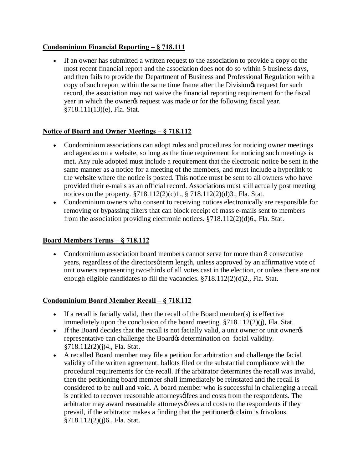## **Condominium Financial Reporting – § 718.111**

· If an owner has submitted a written request to the association to provide a copy of the most recent financial report and the association does not do so within 5 business days, and then fails to provide the Department of Business and Professional Regulation with a copy of such report within the same time frame after the Division is request for such record, the association may not waive the financial reporting requirement for the fiscal year in which the owner is request was made or for the following fiscal year. §718.111(13)(e), Fla. Stat.

## **Notice of Board and Owner Meetings – § 718.112**

- · Condominium associations can adopt rules and procedures for noticing owner meetings and agendas on a website, so long as the time requirement for noticing such meetings is met. Any rule adopted must include a requirement that the electronic notice be sent in the same manner as a notice for a meeting of the members, and must include a hyperlink to the website where the notice is posted. This notice must be sent to all owners who have provided their e-mails as an official record. Associations must still actually post meeting notices on the property. §718.112(2)(c)1., § 718.112(2)(d)3., Fla. Stat.
- · Condominium owners who consent to receiving notices electronically are responsible for removing or bypassing filters that can block receipt of mass e-mails sent to members from the association providing electronic notices. §718.112(2)(d)6., Fla. Stat.

### **Board Members Terms – § 718.112**

· Condominium association board members cannot serve for more than 8 consecutive years, regardless of the directors of term length, unless approved by an affirmative vote of unit owners representing two-thirds of all votes cast in the election, or unless there are not enough eligible candidates to fill the vacancies. §718.112(2)(d)2., Fla. Stat.

### **Condominium Board Member Recall – § 718.112**

- If a recall is facially valid, then the recall of the Board member(s) is effective immediately upon the conclusion of the board meeting.  $\S718.112(2)(i)$ , Fla. Stat.
- If the Board decides that the recall is not facially valid, a unit owner or unit owner representative can challenge the Board & determination on facial validity. §718.112(2)(j)4., Fla. Stat.
- · A recalled Board member may file a petition for arbitration and challenge the facial validity of the written agreement, ballots filed or the substantial compliance with the procedural requirements for the recall. If the arbitrator determines the recall was invalid, then the petitioning board member shall immediately be reinstated and the recall is considered to be null and void. A board member who is successful in challenging a recall is entitled to recover reasonable attorneysø fees and costs from the respondents. The arbitrator may award reasonable attorneys of fees and costs to the respondents if they prevail, if the arbitrator makes a finding that the petitioner is claim is frivolous. §718.112(2)(j)6., Fla. Stat.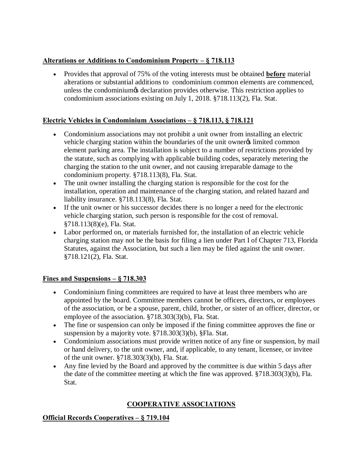# **Alterations or Additions to Condominium Property – § 718.113**

· Provides that approval of 75% of the voting interests must be obtained **before** material alterations or substantial additions to condominium common elements are commenced, unless the condominium is declaration provides otherwise. This restriction applies to condominium associations existing on July 1, 2018. §718.113(2), Fla. Stat.

# **Electric Vehicles in Condominium Associations – § 718.113, § 718.121**

- · Condominium associations may not prohibit a unit owner from installing an electric vehicle charging station within the boundaries of the unit owner is limited common element parking area. The installation is subject to a number of restrictions provided by the statute, such as complying with applicable building codes, separately metering the charging the station to the unit owner, and not causing irreparable damage to the condominium property. §718.113(8), Fla. Stat.
- · The unit owner installing the charging station is responsible for the cost for the installation, operation and maintenance of the charging station, and related hazard and liability insurance. §718.113(8), Fla. Stat.
- · If the unit owner or his successor decides there is no longer a need for the electronic vehicle charging station, such person is responsible for the cost of removal. §718.113(8)(e), Fla. Stat.
- · Labor performed on, or materials furnished for, the installation of an electric vehicle charging station may not be the basis for filing a lien under Part I of Chapter 713, Florida Statutes, against the Association, but such a lien may be filed against the unit owner. §718.121(2), Fla. Stat.

# Fines and Suspensions  $-\frac{6}{5}$  718.303

- · Condominium fining committees are required to have at least three members who are appointed by the board. Committee members cannot be officers, directors, or employees of the association, or be a spouse, parent, child, brother, or sister of an officer, director, or employee of the association. §718.303(3)(b), Fla. Stat.
- · The fine or suspension can only be imposed if the fining committee approves the fine or suspension by a majority vote. §718.303(3)(b), §Fla. Stat.
- Condominium associations must provide written notice of any fine or suspension, by mail or hand delivery, to the unit owner, and, if applicable, to any tenant, licensee, or invitee of the unit owner. §718.303(3)(b), Fla. Stat.
- Any fine levied by the Board and approved by the committee is due within 5 days after the date of the committee meeting at which the fine was approved. §718.303(3)(b), Fla. Stat.

# **COOPERATIVE ASSOCIATIONS**

# **Official Records Cooperatives – § 719.104**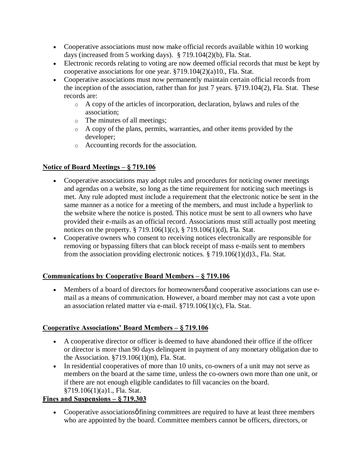- · Cooperative associations must now make official records available within 10 working days (increased from 5 working days). § 719.104(2)(b), Fla. Stat.
- · Electronic records relating to voting are now deemed official records that must be kept by cooperative associations for one year. §719.104(2)(a)10., Fla. Stat.
- · Cooperative associations must now permanently maintain certain official records from the inception of the association, rather than for just 7 years. §719.104(2), Fla. Stat. These records are:
	- o A copy of the articles of incorporation, declaration, bylaws and rules of the association;
	- o The minutes of all meetings;
	- o A copy of the plans, permits, warranties, and other items provided by the developer;
	- o Accounting records for the association.

# **Notice of Board Meetings – § 719.106**

- · Cooperative associations may adopt rules and procedures for noticing owner meetings and agendas on a website, so long as the time requirement for noticing such meetings is met. Any rule adopted must include a requirement that the electronic notice be sent in the same manner as a notice for a meeting of the members, and must include a hyperlink to the website where the notice is posted. This notice must be sent to all owners who have provided their e-mails as an official record. Associations must still actually post meeting notices on the property. § 719.106(1)(c), § 719.106(1)(d), Fla. Stat.
- · Cooperative owners who consent to receiving notices electronically are responsible for removing or bypassing filters that can block receipt of mass e-mails sent to members from the association providing electronic notices. § 719.106(1)(d)3., Fla. Stat.

# **Communications by Cooperative Board Members – § 719.106**

• Members of a board of directors for homeowners pand cooperative associations can use email as a means of communication. However, a board member may not cast a vote upon an association related matter via e-mail. §719.106(1)(c), Fla. Stat.

### **Cooperative Associations' Board Members – § 719.106**

- · A cooperative director or officer is deemed to have abandoned their office if the officer or director is more than 90 days delinquent in payment of any monetary obligation due to the Association.  $\S719.106(1)(m)$ , Fla. Stat.
- In residential cooperatives of more than 10 units, co-owners of a unit may not serve as members on the board at the same time, unless the co-owners own more than one unit, or if there are not enough eligible candidates to fill vacancies on the board. §719.106(1)(a)1., Fla. Stat.

### **Fines and Suspensions – § 719.303**

• Cooperative associations of fining committees are required to have at least three members who are appointed by the board. Committee members cannot be officers, directors, or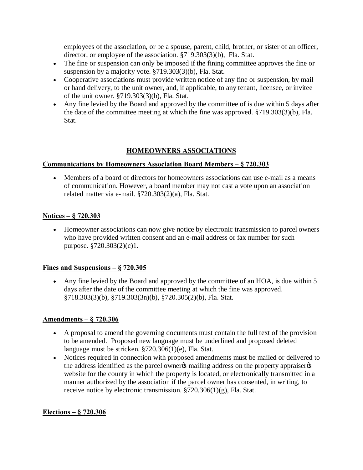employees of the association, or be a spouse, parent, child, brother, or sister of an officer, director, or employee of the association. §719.303(3)(b), Fla. Stat.

- · The fine or suspension can only be imposed if the fining committee approves the fine or suspension by a majority vote. §719.303(3)(b), Fla. Stat.
- · Cooperative associations must provide written notice of any fine or suspension, by mail or hand delivery, to the unit owner, and, if applicable, to any tenant, licensee, or invitee of the unit owner. §719.303(3)(b), Fla. Stat.
- · Any fine levied by the Board and approved by the committee of is due within 5 days after the date of the committee meeting at which the fine was approved. §719.303(3)(b), Fla. Stat.

## **HOMEOWNERS ASSOCIATIONS**

#### **Communications by Homeowners Association Board Members – § 720.303**

• Members of a board of directors for homeowners associations can use e-mail as a means of communication. However, a board member may not cast a vote upon an association related matter via e-mail. §720.303(2)(a), Fla. Stat.

### **Notices – § 720.303**

· Homeowner associations can now give notice by electronic transmission to parcel owners who have provided written consent and an e-mail address or fax number for such purpose. §720.303(2)(c)1.

### **Fines and Suspensions – § 720.305**

• Any fine levied by the Board and approved by the committee of an HOA, is due within 5 days after the date of the committee meeting at which the fine was approved. §718.303(3)(b), §719.303(3n)(b), §720.305(2)(b), Fla. Stat.

#### **Amendments – § 720.306**

- · A proposal to amend the governing documents must contain the full text of the provision to be amended. Proposed new language must be underlined and proposed deleted language must be stricken. §720.306(1)(e), Fla. Stat.
- · Notices required in connection with proposed amendments must be mailed or delivered to the address identified as the parcel owner<sub>f</sub> mailing address on the property appraiser website for the county in which the property is located, or electronically transmitted in a manner authorized by the association if the parcel owner has consented, in writing, to receive notice by electronic transmission.  $\S 720.306(1)(g)$ , Fla. Stat.

### **Elections – § 720.306**